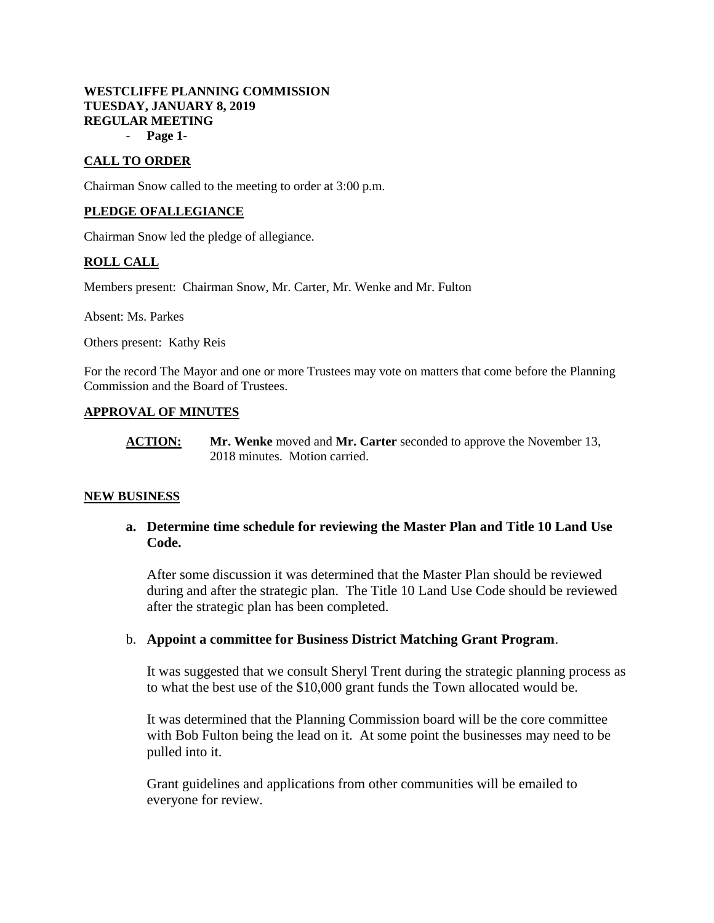# **WESTCLIFFE PLANNING COMMISSION TUESDAY, JANUARY 8, 2019 REGULAR MEETING**

- **Page 1-**

# **CALL TO ORDER**

Chairman Snow called to the meeting to order at 3:00 p.m.

## **PLEDGE OFALLEGIANCE**

Chairman Snow led the pledge of allegiance.

# **ROLL CALL**

Members present: Chairman Snow, Mr. Carter, Mr. Wenke and Mr. Fulton

Absent: Ms. Parkes

Others present: Kathy Reis

For the record The Mayor and one or more Trustees may vote on matters that come before the Planning Commission and the Board of Trustees.

## **APPROVAL OF MINUTES**

**ACTION: Mr. Wenke** moved and **Mr. Carter** seconded to approve the November 13, 2018 minutes. Motion carried.

### **NEW BUSINESS**

# **a. Determine time schedule for reviewing the Master Plan and Title 10 Land Use Code.**

After some discussion it was determined that the Master Plan should be reviewed during and after the strategic plan. The Title 10 Land Use Code should be reviewed after the strategic plan has been completed.

### b. **Appoint a committee for Business District Matching Grant Program**.

It was suggested that we consult Sheryl Trent during the strategic planning process as to what the best use of the \$10,000 grant funds the Town allocated would be.

It was determined that the Planning Commission board will be the core committee with Bob Fulton being the lead on it. At some point the businesses may need to be pulled into it.

Grant guidelines and applications from other communities will be emailed to everyone for review.